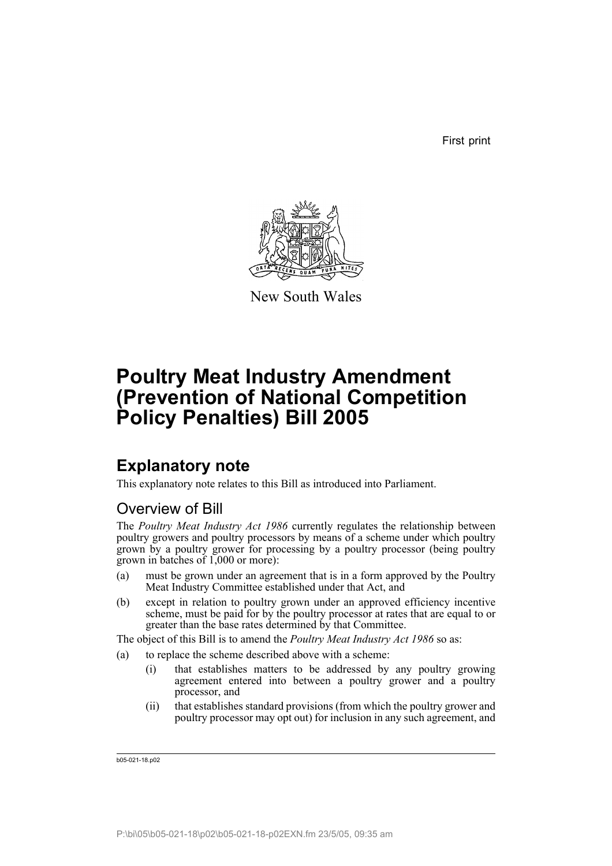First print



New South Wales

# **Poultry Meat Industry Amendment (Prevention of National Competition Policy Penalties) Bill 2005**

# **Explanatory note**

This explanatory note relates to this Bill as introduced into Parliament.

# Overview of Bill

The *Poultry Meat Industry Act 1986* currently regulates the relationship between poultry growers and poultry processors by means of a scheme under which poultry grown by a poultry grower for processing by a poultry processor (being poultry grown in batches of 1,000 or more):

- (a) must be grown under an agreement that is in a form approved by the Poultry Meat Industry Committee established under that Act, and
- (b) except in relation to poultry grown under an approved efficiency incentive scheme, must be paid for by the poultry processor at rates that are equal to or greater than the base rates determined by that Committee.

The object of this Bill is to amend the *Poultry Meat Industry Act 1986* so as:

- (a) to replace the scheme described above with a scheme:
	- (i) that establishes matters to be addressed by any poultry growing agreement entered into between a poultry grower and a poultry processor, and
	- (ii) that establishes standard provisions (from which the poultry grower and poultry processor may opt out) for inclusion in any such agreement, and

b05-021-18.p02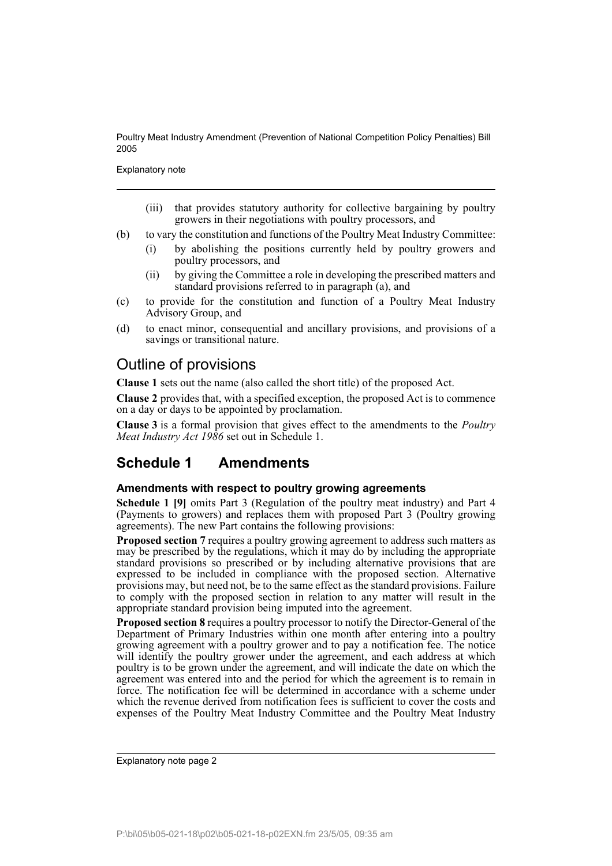Explanatory note

- (iii) that provides statutory authority for collective bargaining by poultry growers in their negotiations with poultry processors, and
- (b) to vary the constitution and functions of the Poultry Meat Industry Committee:
	- (i) by abolishing the positions currently held by poultry growers and poultry processors, and
	- (ii) by giving the Committee a role in developing the prescribed matters and standard provisions referred to in paragraph (a), and
- (c) to provide for the constitution and function of a Poultry Meat Industry Advisory Group, and
- (d) to enact minor, consequential and ancillary provisions, and provisions of a savings or transitional nature.

## Outline of provisions

**Clause 1** sets out the name (also called the short title) of the proposed Act.

**Clause 2** provides that, with a specified exception, the proposed Act is to commence on a day or days to be appointed by proclamation.

**Clause 3** is a formal provision that gives effect to the amendments to the *Poultry Meat Industry Act 1986* set out in Schedule 1.

## **Schedule 1 Amendments**

### **Amendments with respect to poultry growing agreements**

**Schedule 1 [9]** omits Part 3 (Regulation of the poultry meat industry) and Part 4 (Payments to growers) and replaces them with proposed Part 3 (Poultry growing agreements). The new Part contains the following provisions:

**Proposed section 7** requires a poultry growing agreement to address such matters as may be prescribed by the regulations, which it may do by including the appropriate standard provisions so prescribed or by including alternative provisions that are expressed to be included in compliance with the proposed section. Alternative provisions may, but need not, be to the same effect as the standard provisions. Failure to comply with the proposed section in relation to any matter will result in the appropriate standard provision being imputed into the agreement.

**Proposed section 8** requires a poultry processor to notify the Director-General of the Department of Primary Industries within one month after entering into a poultry growing agreement with a poultry grower and to pay a notification fee. The notice will identify the poultry grower under the agreement, and each address at which poultry is to be grown under the agreement, and will indicate the date on which the agreement was entered into and the period for which the agreement is to remain in force. The notification fee will be determined in accordance with a scheme under which the revenue derived from notification fees is sufficient to cover the costs and expenses of the Poultry Meat Industry Committee and the Poultry Meat Industry

Explanatory note page 2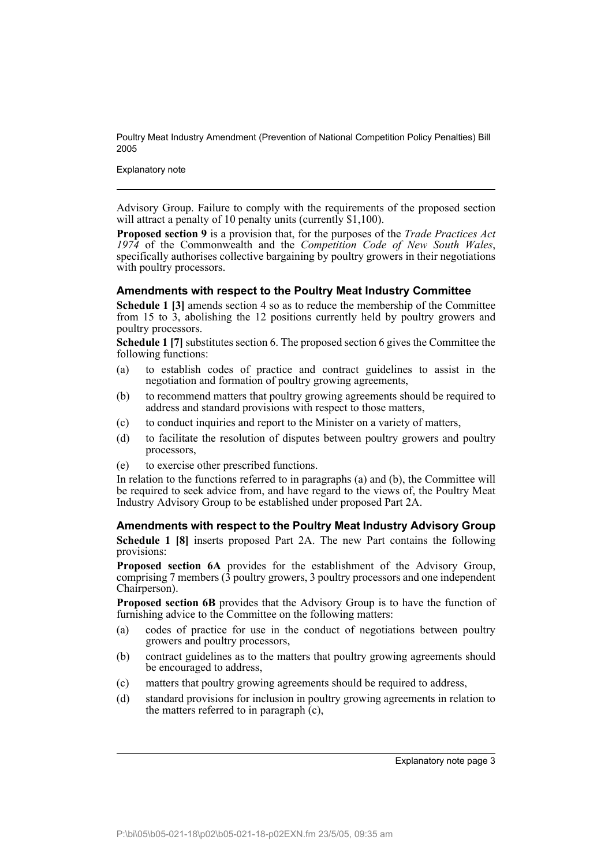Explanatory note

Advisory Group. Failure to comply with the requirements of the proposed section will attract a penalty of 10 penalty units (currently \$1,100).

**Proposed section 9** is a provision that, for the purposes of the *Trade Practices Act* 1974 of the Commonwealth and the *Competition Code of New South Wales*. specifically authorises collective bargaining by poultry growers in their negotiations with poultry processors.

#### **Amendments with respect to the Poultry Meat Industry Committee**

**Schedule 1 [3]** amends section 4 so as to reduce the membership of the Committee from 15 to 3, abolishing the 12 positions currently held by poultry growers and poultry processors.

**Schedule 1 [7]** substitutes section 6. The proposed section 6 gives the Committee the following functions:

- (a) to establish codes of practice and contract guidelines to assist in the negotiation and formation of poultry growing agreements,
- (b) to recommend matters that poultry growing agreements should be required to address and standard provisions with respect to those matters,
- (c) to conduct inquiries and report to the Minister on a variety of matters,
- (d) to facilitate the resolution of disputes between poultry growers and poultry processors,
- (e) to exercise other prescribed functions.

In relation to the functions referred to in paragraphs (a) and (b), the Committee will be required to seek advice from, and have regard to the views of, the Poultry Meat Industry Advisory Group to be established under proposed Part 2A.

**Amendments with respect to the Poultry Meat Industry Advisory Group Schedule 1 [8]** inserts proposed Part 2A. The new Part contains the following provisions:

**Proposed section 6A** provides for the establishment of the Advisory Group, comprising  $7$  members  $(3$  poultry growers,  $3$  poultry processors and one independent Chairperson).

**Proposed section 6B** provides that the Advisory Group is to have the function of furnishing advice to the Committee on the following matters:

- (a) codes of practice for use in the conduct of negotiations between poultry growers and poultry processors,
- (b) contract guidelines as to the matters that poultry growing agreements should be encouraged to address,
- (c) matters that poultry growing agreements should be required to address,
- (d) standard provisions for inclusion in poultry growing agreements in relation to the matters referred to in paragraph  $(c)$ ,

Explanatory note page 3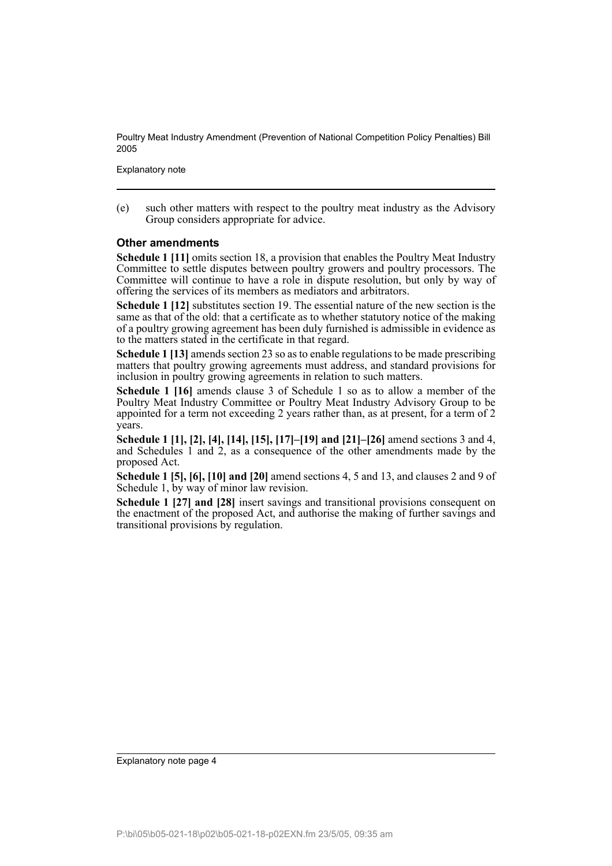Explanatory note

(e) such other matters with respect to the poultry meat industry as the Advisory Group considers appropriate for advice.

### **Other amendments**

**Schedule 1 [11]** omits section 18, a provision that enables the Poultry Meat Industry Committee to settle disputes between poultry growers and poultry processors. The Committee will continue to have a role in dispute resolution, but only by way of offering the services of its members as mediators and arbitrators.

**Schedule 1 [12]** substitutes section 19. The essential nature of the new section is the same as that of the old: that a certificate as to whether statutory notice of the making of a poultry growing agreement has been duly furnished is admissible in evidence as to the matters stated in the certificate in that regard.

**Schedule 1 [13]** amends section 23 so as to enable regulations to be made prescribing matters that poultry growing agreements must address, and standard provisions for inclusion in poultry growing agreements in relation to such matters.

**Schedule 1 [16]** amends clause 3 of Schedule 1 so as to allow a member of the Poultry Meat Industry Committee or Poultry Meat Industry Advisory Group to be appointed for a term not exceeding 2 years rather than, as at present, for a term of 2 years.

**Schedule 1 [1], [2], [4], [14], [15], [17]–[19] and [21]–[26]** amend sections 3 and 4, and Schedules 1 and 2, as a consequence of the other amendments made by the proposed Act.

**Schedule 1 [5], [6], [10] and [20]** amend sections 4, 5 and 13, and clauses 2 and 9 of Schedule 1, by way of minor law revision.

**Schedule 1 [27] and [28]** insert savings and transitional provisions consequent on the enactment of the proposed Act, and authorise the making of further savings and transitional provisions by regulation.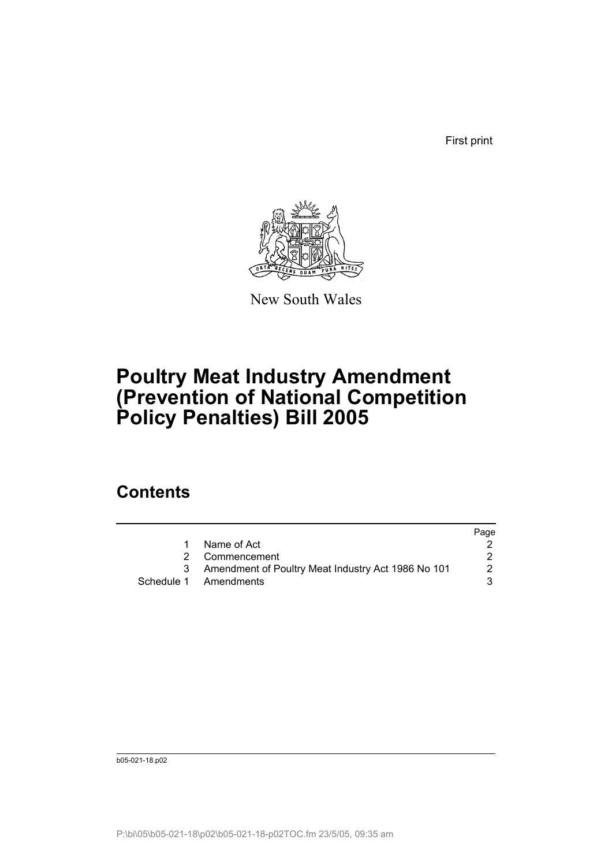First print



New South Wales

# **Poultry Meat Industry Amendment (Prevention of National Competition Policy Penalties) Bill 2005**

# **Contents**

|                                                      | Page |
|------------------------------------------------------|------|
| Name of Act                                          |      |
| 2 Commencement                                       |      |
| 3 Amendment of Poultry Meat Industry Act 1986 No 101 | 2    |
| Schedule 1 Amendments                                | 3.   |

b05-021-18.p02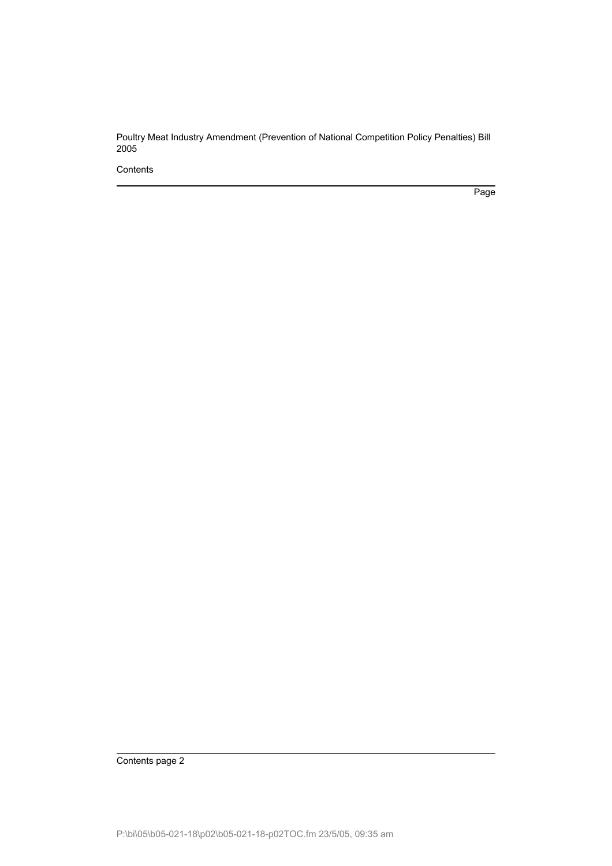**Contents** 

Page

Contents page 2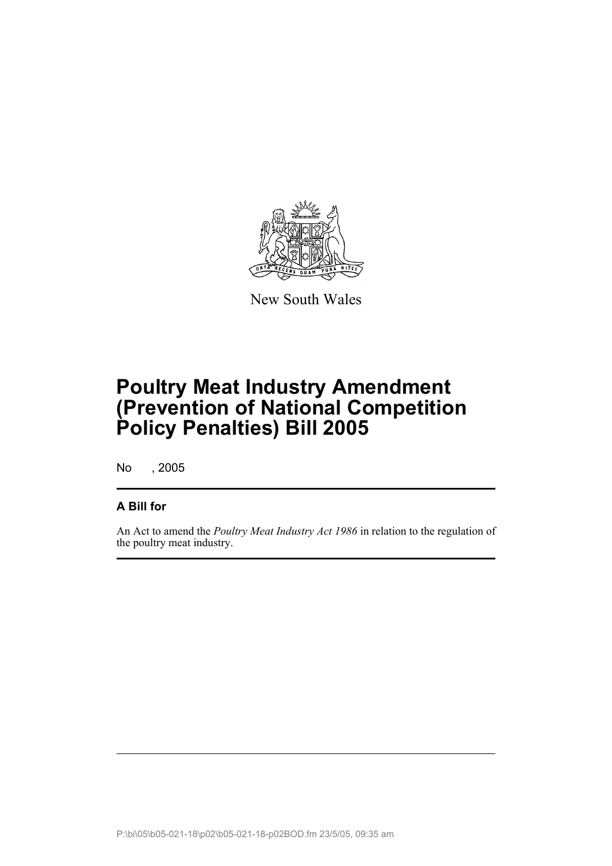

New South Wales

# **Poultry Meat Industry Amendment (Prevention of National Competition Policy Penalties) Bill 2005**

No , 2005

## **A Bill for**

An Act to amend the *Poultry Meat Industry Act 1986* in relation to the regulation of the poultry meat industry.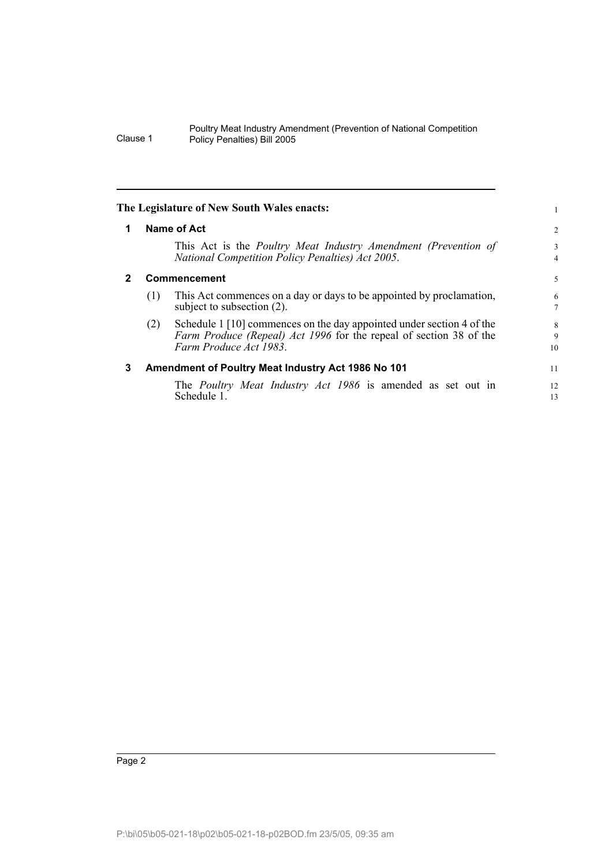| The Legislature of New South Wales enacts: |  |  |
|--------------------------------------------|--|--|
|                                            |  |  |

| 1 |     | <b>Name of Act</b>                                                                                                                                                   | 2                   |
|---|-----|----------------------------------------------------------------------------------------------------------------------------------------------------------------------|---------------------|
|   |     | This Act is the Poultry Meat Industry Amendment (Prevention of<br>National Competition Policy Penalties) Act 2005.                                                   | 3<br>$\overline{4}$ |
| 2 |     | Commencement                                                                                                                                                         | 5                   |
|   | (1) | This Act commences on a day or days to be appointed by proclamation,<br>subject to subsection (2).                                                                   | 6<br>7              |
|   | (2) | Schedule 1 [10] commences on the day appointed under section 4 of the<br>Farm Produce (Repeal) Act 1996 for the repeal of section 38 of the<br>Farm Produce Act 1983 | 8<br>9<br>10        |
| 3 |     | Amendment of Poultry Meat Industry Act 1986 No 101                                                                                                                   | 11                  |
|   |     | The <i>Poultry Meat Industry Act 1986</i> is amended as set out in<br>Schedule 1.                                                                                    | 12<br>13            |

1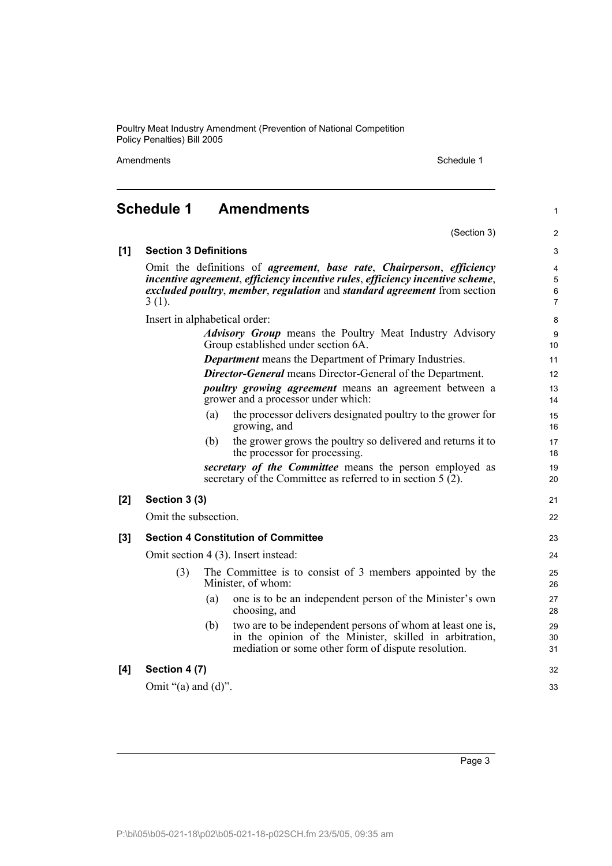Amendments Schedule 1

(Section 3)

1

2

# **Schedule 1 Amendments**

| [1]   | <b>Section 3 Definitions</b>                                                                                             |     |                                                                                                                                                                                                                                    | 3                                      |  |
|-------|--------------------------------------------------------------------------------------------------------------------------|-----|------------------------------------------------------------------------------------------------------------------------------------------------------------------------------------------------------------------------------------|----------------------------------------|--|
|       | $3(1)$ .                                                                                                                 |     | Omit the definitions of agreement, base rate, Chairperson, efficiency<br>incentive agreement, efficiency incentive rules, efficiency incentive scheme,<br>excluded poultry, member, regulation and standard agreement from section | $\overline{4}$<br>$\sqrt{5}$<br>6<br>7 |  |
|       | Insert in alphabetical order:                                                                                            |     |                                                                                                                                                                                                                                    | 8                                      |  |
|       |                                                                                                                          |     | <b>Advisory Group</b> means the Poultry Meat Industry Advisory<br>Group established under section 6A.                                                                                                                              | $\boldsymbol{9}$<br>10                 |  |
|       |                                                                                                                          |     | <b>Department</b> means the Department of Primary Industries.                                                                                                                                                                      | 11                                     |  |
|       |                                                                                                                          |     | <b>Director-General</b> means Director-General of the Department.                                                                                                                                                                  | 12                                     |  |
|       |                                                                                                                          |     | <i>poultry growing agreement</i> means an agreement between a<br>grower and a processor under which:                                                                                                                               | 13<br>14                               |  |
|       |                                                                                                                          | (a) | the processor delivers designated poultry to the grower for<br>growing, and                                                                                                                                                        | 15<br>16                               |  |
|       |                                                                                                                          | (b) | the grower grows the poultry so delivered and returns it to<br>the processor for processing.                                                                                                                                       | 17<br>18                               |  |
|       | secretary of the Committee means the person employed as<br>secretary of the Committee as referred to in section $5(2)$ . |     |                                                                                                                                                                                                                                    |                                        |  |
| $[2]$ | Section 3 (3)                                                                                                            |     |                                                                                                                                                                                                                                    | 21                                     |  |
|       | Omit the subsection.                                                                                                     |     |                                                                                                                                                                                                                                    | 22                                     |  |
| $[3]$ |                                                                                                                          |     | <b>Section 4 Constitution of Committee</b>                                                                                                                                                                                         | 23                                     |  |
|       | Omit section 4 (3). Insert instead:                                                                                      |     |                                                                                                                                                                                                                                    |                                        |  |
|       | (3)                                                                                                                      |     | The Committee is to consist of 3 members appointed by the<br>Minister, of whom:                                                                                                                                                    | 25<br>26                               |  |
|       |                                                                                                                          | (a) | one is to be an independent person of the Minister's own<br>choosing, and                                                                                                                                                          | 27<br>28                               |  |
|       |                                                                                                                          | (b) | two are to be independent persons of whom at least one is,<br>in the opinion of the Minister, skilled in arbitration,<br>mediation or some other form of dispute resolution.                                                       | 29<br>30<br>31                         |  |
| [4]   | Section 4 (7)                                                                                                            |     |                                                                                                                                                                                                                                    | 32                                     |  |
|       | Omit " $(a)$ and $(d)$ ".                                                                                                |     |                                                                                                                                                                                                                                    | 33                                     |  |
|       |                                                                                                                          |     |                                                                                                                                                                                                                                    |                                        |  |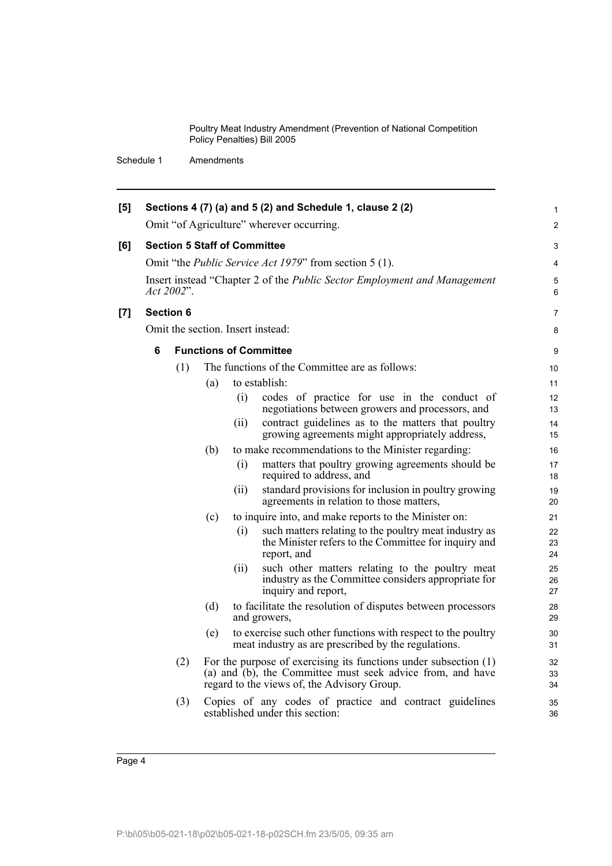| [5] |   |                  |     |      | Sections 4 (7) (a) and 5 (2) and Schedule 1, clause 2 (2)                                                                                                                       | $\mathbf{1}$   |
|-----|---|------------------|-----|------|---------------------------------------------------------------------------------------------------------------------------------------------------------------------------------|----------------|
|     |   |                  |     |      | Omit "of Agriculture" wherever occurring.                                                                                                                                       | 2              |
| [6] |   |                  |     |      | <b>Section 5 Staff of Committee</b>                                                                                                                                             | 3              |
|     |   |                  |     |      | Omit "the <i>Public Service Act 1979</i> " from section 5 (1).                                                                                                                  | 4              |
|     |   | Act 2002".       |     |      | Insert instead "Chapter 2 of the Public Sector Employment and Management                                                                                                        | 5<br>6         |
| [7] |   | <b>Section 6</b> |     |      |                                                                                                                                                                                 | 7              |
|     |   |                  |     |      | Omit the section. Insert instead:                                                                                                                                               | 8              |
|     | 6 |                  |     |      | <b>Functions of Committee</b>                                                                                                                                                   | 9              |
|     |   | (1)              |     |      | The functions of the Committee are as follows:                                                                                                                                  | 10             |
|     |   |                  | (a) |      | to establish:                                                                                                                                                                   | 11             |
|     |   |                  |     | (i)  | codes of practice for use in the conduct of<br>negotiations between growers and processors, and                                                                                 | 12<br>13       |
|     |   |                  |     | (ii) | contract guidelines as to the matters that poultry<br>growing agreements might appropriately address,                                                                           | 14<br>15       |
|     |   |                  | (b) |      | to make recommendations to the Minister regarding:                                                                                                                              | 16             |
|     |   |                  |     | (i)  | matters that poultry growing agreements should be<br>required to address, and                                                                                                   | 17<br>18       |
|     |   |                  |     | (ii) | standard provisions for inclusion in poultry growing<br>agreements in relation to those matters,                                                                                | 19<br>20       |
|     |   |                  | (c) |      | to inquire into, and make reports to the Minister on:                                                                                                                           | 21             |
|     |   |                  |     | (i)  | such matters relating to the poultry meat industry as<br>the Minister refers to the Committee for inquiry and<br>report, and                                                    | 22<br>23<br>24 |
|     |   |                  |     | (ii) | such other matters relating to the poultry meat<br>industry as the Committee considers appropriate for<br>inquiry and report,                                                   | 25<br>26<br>27 |
|     |   |                  | (d) |      | to facilitate the resolution of disputes between processors<br>and growers,                                                                                                     | 28<br>29       |
|     |   |                  | (e) |      | to exercise such other functions with respect to the poultry<br>meat industry as are prescribed by the regulations.                                                             | 30<br>31       |
|     |   | (2)              |     |      | For the purpose of exercising its functions under subsection $(1)$<br>(a) and (b), the Committee must seek advice from, and have<br>regard to the views of, the Advisory Group. | 32<br>33<br>34 |
|     |   | (3)              |     |      | Copies of any codes of practice and contract guidelines<br>established under this section:                                                                                      | 35<br>36       |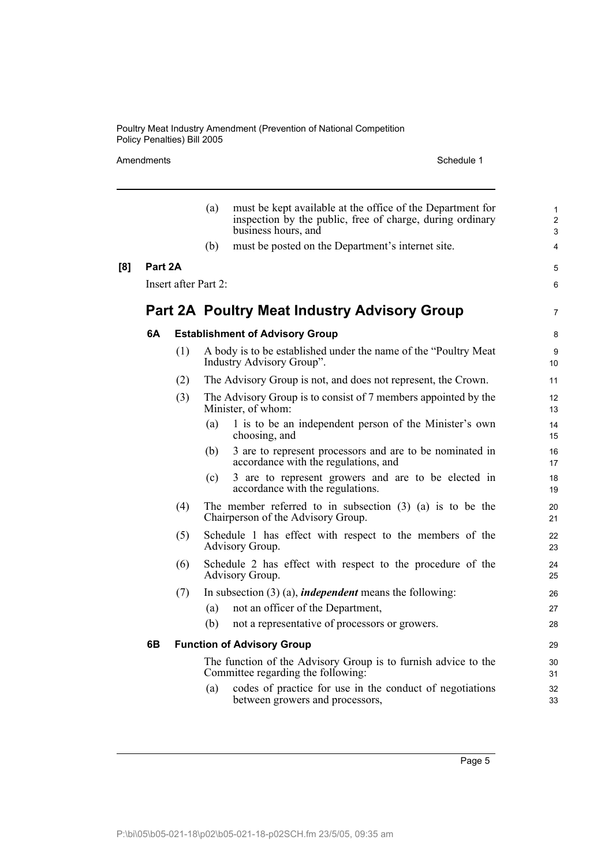### Amendments Schedule 1

|     |         |                      | (a) | must be kept available at the office of the Department for<br>inspection by the public, free of charge, during ordinary<br>business hours, and | $\mathbf{1}$<br>$\overline{2}$<br>3 |  |  |
|-----|---------|----------------------|-----|------------------------------------------------------------------------------------------------------------------------------------------------|-------------------------------------|--|--|
|     |         |                      | (b) | must be posted on the Department's internet site.                                                                                              | $\overline{4}$                      |  |  |
| [8] | Part 2A |                      |     |                                                                                                                                                | 5                                   |  |  |
|     |         | Insert after Part 2: |     |                                                                                                                                                |                                     |  |  |
|     |         |                      |     | <b>Part 2A Poultry Meat Industry Advisory Group</b>                                                                                            | $\overline{7}$                      |  |  |
|     | 6A      |                      |     | <b>Establishment of Advisory Group</b>                                                                                                         | 8                                   |  |  |
|     |         | (1)                  |     | A body is to be established under the name of the "Poultry Meat"<br>Industry Advisory Group".                                                  | 9<br>10 <sup>1</sup>                |  |  |
|     |         | (2)                  |     | The Advisory Group is not, and does not represent, the Crown.                                                                                  | 11                                  |  |  |
|     |         | (3)                  |     | The Advisory Group is to consist of 7 members appointed by the<br>Minister, of whom:                                                           | 12<br>13                            |  |  |
|     |         |                      | (a) | 1 is to be an independent person of the Minister's own<br>choosing, and                                                                        | 14<br>15                            |  |  |
|     |         |                      | (b) | 3 are to represent processors and are to be nominated in<br>accordance with the regulations, and                                               | 16<br>17                            |  |  |
|     |         |                      | (c) | 3 are to represent growers and are to be elected in<br>accordance with the regulations.                                                        | 18<br>19                            |  |  |
|     |         | (4)                  |     | The member referred to in subsection $(3)$ $(a)$ is to be the<br>Chairperson of the Advisory Group.                                            | 20<br>21                            |  |  |
|     |         | (5)                  |     | Schedule 1 has effect with respect to the members of the<br>Advisory Group.                                                                    | 22<br>23                            |  |  |
|     |         | (6)                  |     | Schedule 2 has effect with respect to the procedure of the<br>Advisory Group.                                                                  | 24<br>25                            |  |  |
|     |         | (7)                  |     | In subsection $(3)$ (a), <i>independent</i> means the following:                                                                               | 26                                  |  |  |
|     |         |                      | (a) | not an officer of the Department,                                                                                                              | 27                                  |  |  |
|     |         |                      | (b) | not a representative of processors or growers.                                                                                                 | 28                                  |  |  |
|     | 6B      |                      |     | <b>Function of Advisory Group</b>                                                                                                              | 29                                  |  |  |
|     |         |                      |     | The function of the Advisory Group is to furnish advice to the<br>Committee regarding the following:                                           | 30<br>31                            |  |  |
|     |         |                      | (a) | codes of practice for use in the conduct of negotiations<br>between growers and processors,                                                    | 32<br>33                            |  |  |
|     |         |                      |     |                                                                                                                                                |                                     |  |  |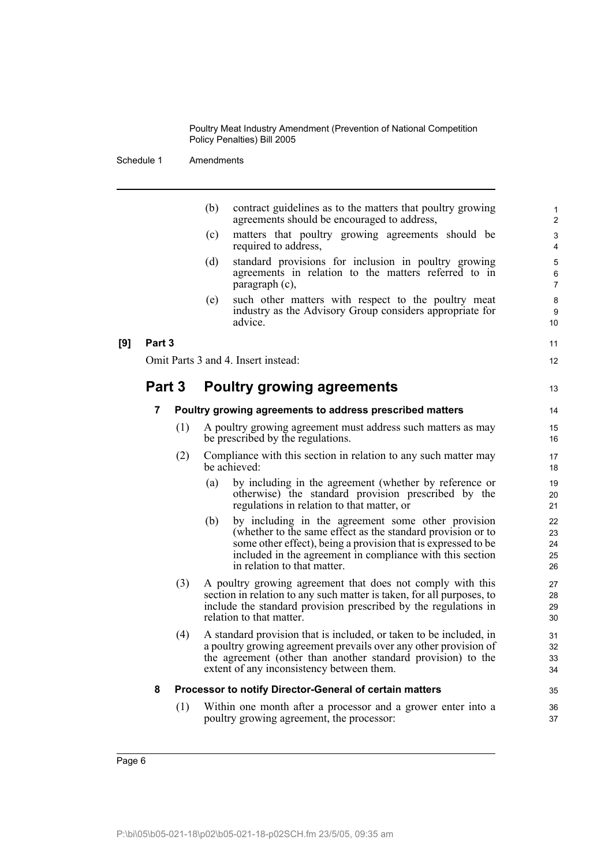|     |        |     | (b) | contract guidelines as to the matters that poultry growing<br>agreements should be encouraged to address,                                                                                                                                                                      | $\mathbf{1}$<br>2                  |
|-----|--------|-----|-----|--------------------------------------------------------------------------------------------------------------------------------------------------------------------------------------------------------------------------------------------------------------------------------|------------------------------------|
|     |        |     | (c) | matters that poultry growing agreements should be<br>required to address,                                                                                                                                                                                                      | 3<br>4                             |
|     |        |     | (d) | standard provisions for inclusion in poultry growing<br>agreements in relation to the matters referred to in<br>paragraph (c),                                                                                                                                                 | $\mathbf 5$<br>6<br>$\overline{7}$ |
|     |        |     | (e) | such other matters with respect to the poultry meat<br>industry as the Advisory Group considers appropriate for<br>advice.                                                                                                                                                     | 8<br>9<br>10                       |
| [9] | Part 3 |     |     |                                                                                                                                                                                                                                                                                | 11                                 |
|     |        |     |     | Omit Parts 3 and 4. Insert instead:                                                                                                                                                                                                                                            | 12                                 |
|     | Part 3 |     |     | <b>Poultry growing agreements</b>                                                                                                                                                                                                                                              | 13                                 |
|     | 7      |     |     | Poultry growing agreements to address prescribed matters                                                                                                                                                                                                                       | 14                                 |
|     |        | (1) |     | A poultry growing agreement must address such matters as may<br>be prescribed by the regulations.                                                                                                                                                                              | 15<br>16                           |
|     |        | (2) |     | Compliance with this section in relation to any such matter may<br>be achieved:                                                                                                                                                                                                | 17<br>18                           |
|     |        |     | (a) | by including in the agreement (whether by reference or<br>otherwise) the standard provision prescribed by the<br>regulations in relation to that matter, or                                                                                                                    | 19<br>20<br>21                     |
|     |        |     | (b) | by including in the agreement some other provision<br>(whether to the same effect as the standard provision or to<br>some other effect), being a provision that is expressed to be<br>included in the agreement in compliance with this section<br>in relation to that matter. | 22<br>23<br>24<br>25<br>26         |
|     |        | (3) |     | A poultry growing agreement that does not comply with this<br>section in relation to any such matter is taken, for all purposes, to<br>include the standard provision prescribed by the regulations in<br>relation to that matter.                                             | 27<br>28<br>29<br>30               |
|     |        | (4) |     | A standard provision that is included, or taken to be included, in<br>a poultry growing agreement prevails over any other provision of<br>the agreement (other than another standard provision) to the<br>extent of any inconsistency between them.                            | 31<br>32<br>33<br>34               |
|     | 8      |     |     | Processor to notify Director-General of certain matters                                                                                                                                                                                                                        | 35                                 |
|     |        | (1) |     | Within one month after a processor and a grower enter into a<br>poultry growing agreement, the processor:                                                                                                                                                                      | 36<br>37                           |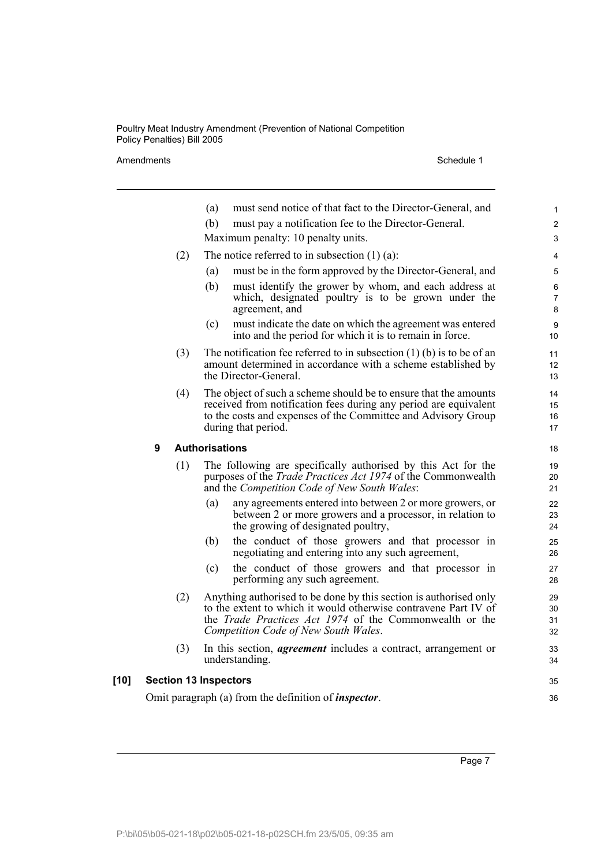Amendments Schedule 1

|      |     | must send notice of that fact to the Director-General, and<br>(a)                                                                                                                                                                              | 1                           |
|------|-----|------------------------------------------------------------------------------------------------------------------------------------------------------------------------------------------------------------------------------------------------|-----------------------------|
|      |     | must pay a notification fee to the Director-General.<br>(b)                                                                                                                                                                                    | $\overline{2}$              |
|      |     | Maximum penalty: 10 penalty units.                                                                                                                                                                                                             | 3                           |
|      | (2) | The notice referred to in subsection $(1)$ $(a)$ :                                                                                                                                                                                             | 4                           |
|      |     | must be in the form approved by the Director-General, and<br>(a)                                                                                                                                                                               | 5                           |
|      |     | (b)<br>must identify the grower by whom, and each address at<br>which, designated poultry is to be grown under the<br>agreement, and                                                                                                           | 6<br>$\overline{7}$<br>8    |
|      |     | must indicate the date on which the agreement was entered<br>(c)<br>into and the period for which it is to remain in force.                                                                                                                    | 9<br>10 <sup>°</sup>        |
|      | (3) | The notification fee referred to in subsection $(1)$ (b) is to be of an<br>amount determined in accordance with a scheme established by<br>the Director-General.                                                                               | 11<br>12 <sup>2</sup><br>13 |
|      | (4) | The object of such a scheme should be to ensure that the amounts<br>received from notification fees during any period are equivalent<br>to the costs and expenses of the Committee and Advisory Group<br>during that period.                   | 14<br>15<br>16<br>17        |
|      | 9   | <b>Authorisations</b>                                                                                                                                                                                                                          | 18                          |
|      | (1) | The following are specifically authorised by this Act for the<br>purposes of the <i>Trade Practices Act 1974</i> of the Commonwealth<br>and the Competition Code of New South Wales:                                                           | 19<br>20<br>21              |
|      |     | any agreements entered into between 2 or more growers, or<br>(a)<br>between 2 or more growers and a processor, in relation to<br>the growing of designated poultry,                                                                            | 22<br>23<br>24              |
|      |     | the conduct of those growers and that processor in<br>(b)<br>negotiating and entering into any such agreement,                                                                                                                                 | 25<br>26                    |
|      |     | the conduct of those growers and that processor in<br>(c)<br>performing any such agreement.                                                                                                                                                    | 27<br>28                    |
|      | (2) | Anything authorised to be done by this section is authorised only<br>to the extent to which it would otherwise contravene Part IV of<br>the <i>Trade Practices Act 1974</i> of the Commonwealth or the<br>Competition Code of New South Wales. | 29<br>30<br>31<br>32        |
|      | (3) | In this section, <i>agreement</i> includes a contract, arrangement or<br>understanding.                                                                                                                                                        | 33<br>34                    |
| [10] |     | <b>Section 13 Inspectors</b>                                                                                                                                                                                                                   | 35                          |
|      |     | Omit paragraph (a) from the definition of <i>inspector</i> .                                                                                                                                                                                   | 36                          |
|      |     |                                                                                                                                                                                                                                                |                             |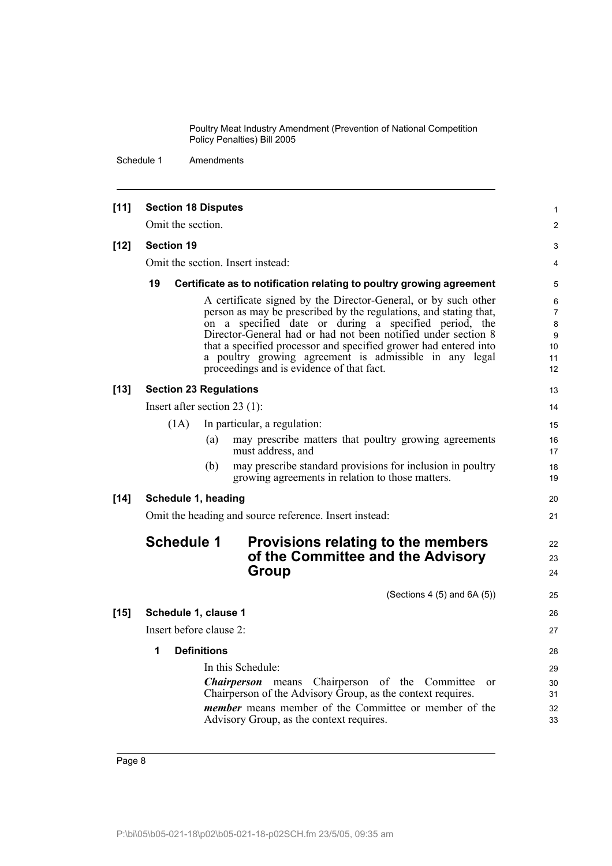| $[11]$ | <b>Section 18 Disputes</b>     |                    |                                                                                                                                                                                                                                                                                                                                                                                                                                          | 1                                               |
|--------|--------------------------------|--------------------|------------------------------------------------------------------------------------------------------------------------------------------------------------------------------------------------------------------------------------------------------------------------------------------------------------------------------------------------------------------------------------------------------------------------------------------|-------------------------------------------------|
|        | Omit the section.              |                    |                                                                                                                                                                                                                                                                                                                                                                                                                                          | $\overline{2}$                                  |
| $[12]$ | <b>Section 19</b>              |                    |                                                                                                                                                                                                                                                                                                                                                                                                                                          | 3                                               |
|        |                                |                    | Omit the section. Insert instead:                                                                                                                                                                                                                                                                                                                                                                                                        | $\overline{4}$                                  |
|        | 19                             |                    | Certificate as to notification relating to poultry growing agreement                                                                                                                                                                                                                                                                                                                                                                     | 5                                               |
|        |                                |                    | A certificate signed by the Director-General, or by such other<br>person as may be prescribed by the regulations, and stating that,<br>on a specified date or during a specified period, the<br>Director-General had or had not been notified under section 8<br>that a specified processor and specified grower had entered into<br>a poultry growing agreement is admissible in any legal<br>proceedings and is evidence of that fact. | 6<br>$\overline{7}$<br>8<br>9<br>10<br>11<br>12 |
| $[13]$ | <b>Section 23 Regulations</b>  |                    |                                                                                                                                                                                                                                                                                                                                                                                                                                          | 13                                              |
|        | Insert after section $23$ (1): |                    |                                                                                                                                                                                                                                                                                                                                                                                                                                          | 14                                              |
|        | (1A)                           |                    | In particular, a regulation:                                                                                                                                                                                                                                                                                                                                                                                                             | 15                                              |
|        |                                | (a)                | may prescribe matters that poultry growing agreements<br>must address, and                                                                                                                                                                                                                                                                                                                                                               | 16<br>17                                        |
|        |                                | (b)                | may prescribe standard provisions for inclusion in poultry<br>growing agreements in relation to those matters.                                                                                                                                                                                                                                                                                                                           | 18<br>19                                        |
| $[14]$ | Schedule 1, heading            |                    |                                                                                                                                                                                                                                                                                                                                                                                                                                          | 20                                              |
|        |                                |                    | Omit the heading and source reference. Insert instead:                                                                                                                                                                                                                                                                                                                                                                                   | 21                                              |
|        | <b>Schedule 1</b>              |                    | Provisions relating to the members<br>of the Committee and the Advisory<br>Group                                                                                                                                                                                                                                                                                                                                                         | 22<br>23<br>24                                  |
|        |                                |                    | (Sections 4 $(5)$ and 6A $(5)$ )                                                                                                                                                                                                                                                                                                                                                                                                         | 25                                              |
| $[15]$ | Schedule 1, clause 1           |                    |                                                                                                                                                                                                                                                                                                                                                                                                                                          | 26                                              |
|        | Insert before clause 2:        |                    |                                                                                                                                                                                                                                                                                                                                                                                                                                          | 27                                              |
|        | 1                              | <b>Definitions</b> |                                                                                                                                                                                                                                                                                                                                                                                                                                          | 28                                              |
|        |                                |                    | In this Schedule:                                                                                                                                                                                                                                                                                                                                                                                                                        | 29                                              |
|        |                                |                    | <i>Chairperson</i> means Chairperson of the Committee<br>$\alpha$                                                                                                                                                                                                                                                                                                                                                                        | 30                                              |
|        |                                |                    | Chairperson of the Advisory Group, as the context requires.<br><i>member</i> means member of the Committee or member of the                                                                                                                                                                                                                                                                                                              | 31<br>32                                        |
|        |                                |                    | Advisory Group, as the context requires.                                                                                                                                                                                                                                                                                                                                                                                                 | 33                                              |
|        |                                |                    |                                                                                                                                                                                                                                                                                                                                                                                                                                          |                                                 |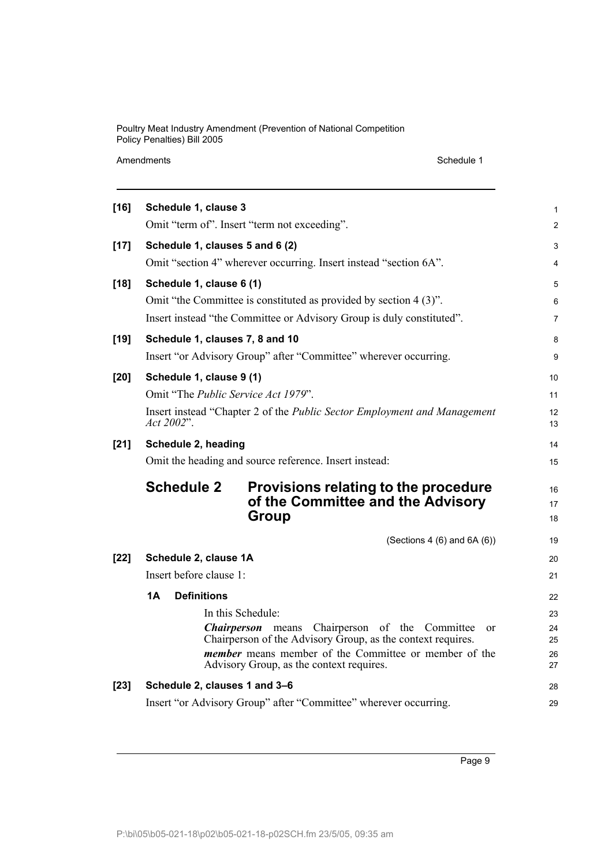Schedule 1

| $[16]$ | Schedule 1, clause 3                                                                                     | 1              |
|--------|----------------------------------------------------------------------------------------------------------|----------------|
|        | Omit "term of". Insert "term not exceeding".                                                             | $\overline{c}$ |
| $[17]$ | Schedule 1, clauses 5 and 6 (2)                                                                          | 3              |
|        | Omit "section 4" wherever occurring. Insert instead "section 6A".                                        | 4              |
| $[18]$ | Schedule 1, clause 6 (1)                                                                                 | 5              |
|        | Omit "the Committee is constituted as provided by section 4 (3)".                                        | 6              |
|        | Insert instead "the Committee or Advisory Group is duly constituted".                                    | 7              |
| $[19]$ | Schedule 1, clauses 7, 8 and 10                                                                          | 8              |
|        | Insert "or Advisory Group" after "Committee" wherever occurring.                                         | 9              |
| [20]   | Schedule 1, clause 9 (1)                                                                                 | 10             |
|        | Omit "The Public Service Act 1979".                                                                      | 11             |
|        | Insert instead "Chapter 2 of the Public Sector Employment and Management                                 | 12             |
|        | Act 2002".                                                                                               | 13             |
| $[21]$ | Schedule 2, heading                                                                                      | 14             |
|        | Omit the heading and source reference. Insert instead:                                                   | 15             |
|        | <b>Schedule 2</b><br>Provisions relating to the procedure                                                | 16             |
|        | of the Committee and the Advisory                                                                        | 17             |
|        | <b>Group</b>                                                                                             | 18             |
|        | (Sections 4 $(6)$ and 6A $(6)$ )                                                                         | 19             |
| $[22]$ | Schedule 2, clause 1A                                                                                    | 20             |
|        | Insert before clause 1:                                                                                  | 21             |
|        | 1A<br><b>Definitions</b>                                                                                 | 22             |
|        | In this Schedule:                                                                                        | 23             |
|        | <b>Chairperson</b> means Chairperson of the Committee<br>or                                              | 24             |
|        | Chairperson of the Advisory Group, as the context requires.                                              | 25             |
|        | <i>member</i> means member of the Committee or member of the<br>Advisory Group, as the context requires. | 26<br>27       |
| $[23]$ | Schedule 2, clauses 1 and 3-6                                                                            | 28             |
|        | Insert "or Advisory Group" after "Committee" wherever occurring.                                         | 29             |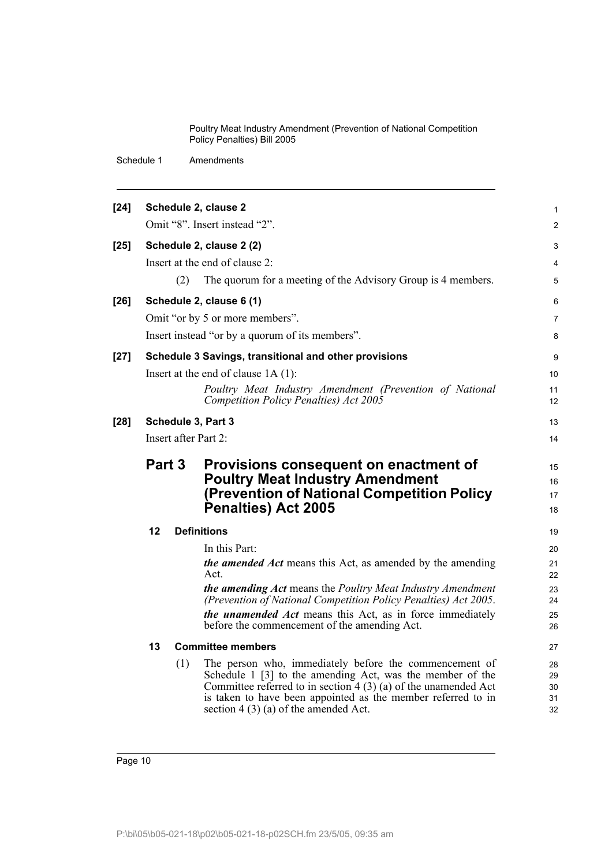| $[24]$ |                                                                                                                                                                |     | Schedule 2, clause 2                                                                                                          | $\mathbf{1}$   |  |  |  |
|--------|----------------------------------------------------------------------------------------------------------------------------------------------------------------|-----|-------------------------------------------------------------------------------------------------------------------------------|----------------|--|--|--|
|        |                                                                                                                                                                |     | Omit "8". Insert instead "2".                                                                                                 | 2              |  |  |  |
| $[25]$ |                                                                                                                                                                |     | Schedule 2, clause 2 (2)                                                                                                      | 3              |  |  |  |
|        |                                                                                                                                                                |     | Insert at the end of clause 2:                                                                                                | $\overline{4}$ |  |  |  |
|        |                                                                                                                                                                | (2) | The quorum for a meeting of the Advisory Group is 4 members.                                                                  | 5              |  |  |  |
| $[26]$ |                                                                                                                                                                |     | Schedule 2, clause 6 (1)                                                                                                      | 6              |  |  |  |
|        |                                                                                                                                                                |     | Omit "or by 5 or more members".                                                                                               | $\overline{7}$ |  |  |  |
|        |                                                                                                                                                                |     | Insert instead "or by a quorum of its members".                                                                               | 8              |  |  |  |
| $[27]$ |                                                                                                                                                                |     | Schedule 3 Savings, transitional and other provisions                                                                         | 9              |  |  |  |
|        |                                                                                                                                                                |     | Insert at the end of clause $1A(1)$ :                                                                                         | 10             |  |  |  |
|        |                                                                                                                                                                |     | Poultry Meat Industry Amendment (Prevention of National<br>Competition Policy Penalties) Act 2005                             | 11<br>12       |  |  |  |
| $[28]$ |                                                                                                                                                                |     | Schedule 3, Part 3                                                                                                            | 13             |  |  |  |
|        | Insert after Part 2:                                                                                                                                           |     |                                                                                                                               |                |  |  |  |
|        | Part 3<br>Provisions consequent on enactment of<br><b>Poultry Meat Industry Amendment</b><br>(Prevention of National Competition Policy<br>Penalties) Act 2005 |     |                                                                                                                               |                |  |  |  |
|        | 12                                                                                                                                                             |     | <b>Definitions</b>                                                                                                            | 19             |  |  |  |
|        |                                                                                                                                                                |     | In this Part:                                                                                                                 | 20             |  |  |  |
|        |                                                                                                                                                                |     | <i>the amended Act</i> means this Act, as amended by the amending<br>Act.                                                     | 21<br>22       |  |  |  |
|        |                                                                                                                                                                |     | the amending Act means the Poultry Meat Industry Amendment<br>(Prevention of National Competition Policy Penalties) Act 2005. | 23<br>24       |  |  |  |
|        |                                                                                                                                                                |     | the unamended Act means this Act, as in force immediately<br>before the commencement of the amending Act.                     | 25<br>26       |  |  |  |
|        | 13                                                                                                                                                             |     | <b>Committee members</b>                                                                                                      | 27             |  |  |  |
|        |                                                                                                                                                                | (1) | The person who, immediately before the commencement of<br>Schedule 1 [3] to the amending Act, was the member of the           | 28             |  |  |  |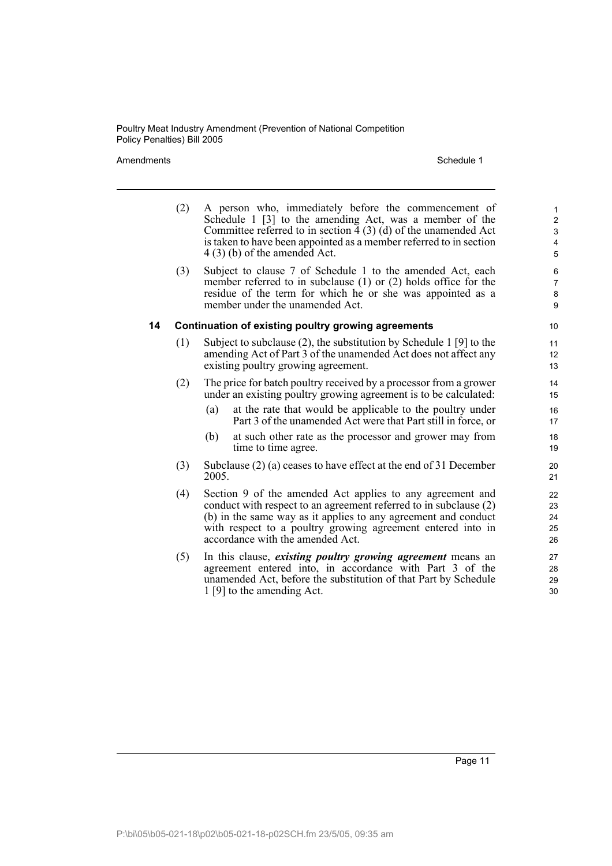Amendments **Schedule 1** and the set of the set of the set of the set of the set of the set of the set of the set of the set of the set of the set of the set of the set of the set of the set of the set of the set of the set

- (2) A person who, immediately before the commencement of Schedule 1 [3] to the amending Act, was a member of the Committee referred to in section  $\overline{4}$  (3) (d) of the unamended Act is taken to have been appointed as a member referred to in section 4 (3) (b) of the amended Act.
- (3) Subject to clause 7 of Schedule 1 to the amended Act, each member referred to in subclause (1) or (2) holds office for the residue of the term for which he or she was appointed as a member under the unamended Act.

#### **14 Continuation of existing poultry growing agreements**

- (1) Subject to subclause (2), the substitution by Schedule 1 [9] to the amending Act of Part 3 of the unamended Act does not affect any existing poultry growing agreement.
- (2) The price for batch poultry received by a processor from a grower under an existing poultry growing agreement is to be calculated:
	- (a) at the rate that would be applicable to the poultry under Part 3 of the unamended Act were that Part still in force, or
	- (b) at such other rate as the processor and grower may from time to time agree.
- (3) Subclause (2) (a) ceases to have effect at the end of 31 December 2005.
- (4) Section 9 of the amended Act applies to any agreement and conduct with respect to an agreement referred to in subclause (2) (b) in the same way as it applies to any agreement and conduct with respect to a poultry growing agreement entered into in accordance with the amended Act.
- (5) In this clause, *existing poultry growing agreement* means an agreement entered into, in accordance with Part 3 of the unamended Act, before the substitution of that Part by Schedule 1 [9] to the amending Act.